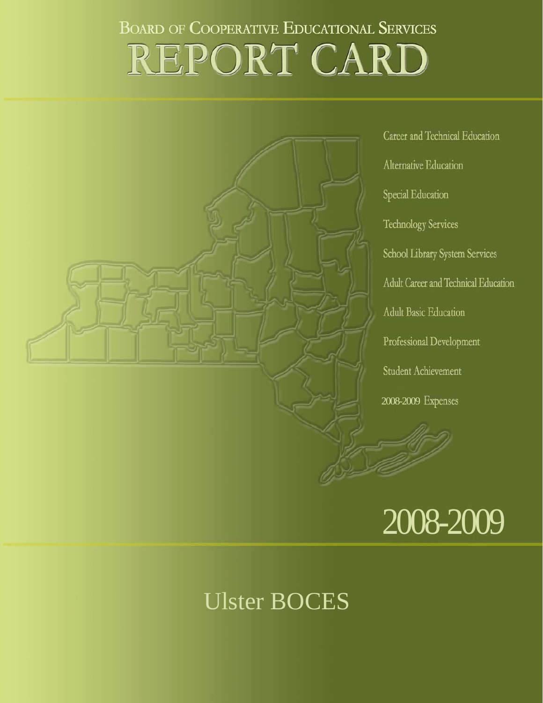# **BOARD OF COOPERATIVE EDUCATIONAL SERVICES** REPORT CARD



Career and Technical Education Alternative Education Special Education **Technology Services** School Library System Services Adult Career and Technical Education **Adult Basic Education** Professional Development Student Achievement 2008-2009



## Ulster BOCES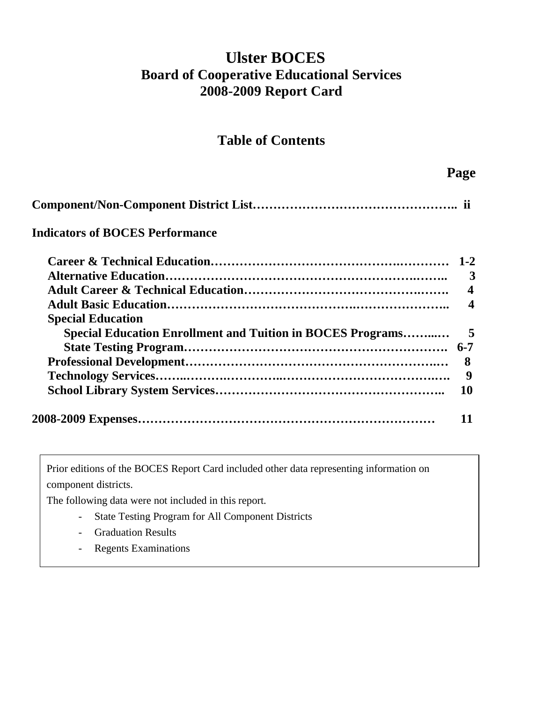## **Ulster BOCES Board of Cooperative Educational Services 2008-2009 Report Card**

## **Table of Contents**

 **Page** 

| <b>Indicators of BOCES Performance</b>                            |                         |
|-------------------------------------------------------------------|-------------------------|
|                                                                   |                         |
|                                                                   | 3                       |
|                                                                   | $\overline{\mathbf{4}}$ |
|                                                                   | 4                       |
| <b>Special Education</b>                                          |                         |
| <b>Special Education Enrollment and Tuition in BOCES Programs</b> | 5                       |
|                                                                   | $6 - 7$                 |
|                                                                   | 8                       |
|                                                                   | 9                       |
|                                                                   | 10                      |
|                                                                   |                         |

Prior editions of the BOCES Report Card included other data representing information on component districts.

The following data were not included in this report.

- State Testing Program for All Component Districts
- Graduation Results
- Regents Examinations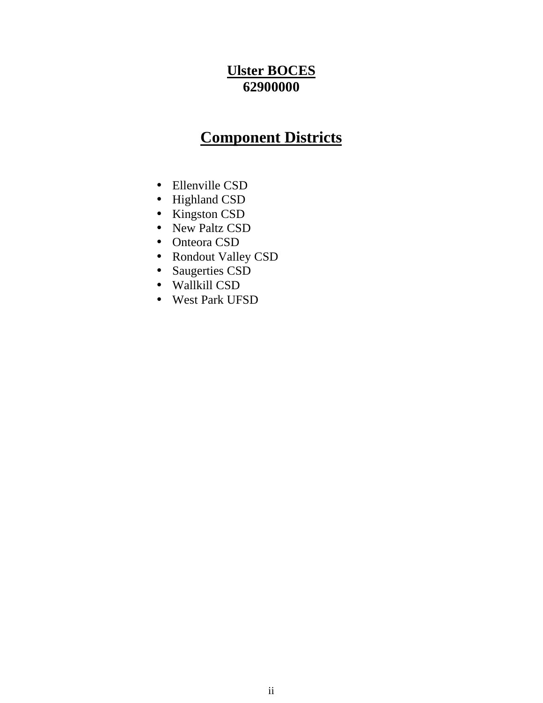## **Ulster BOCES 62900000**

## **Component Districts**

- Ellenville CSD
- Highland CSD
- Kingston CSD
- New Paltz CSD
- Onteora CSD
- Rondout Valley CSD
- Saugerties CSD
- Wallkill CSD
- West Park UFSD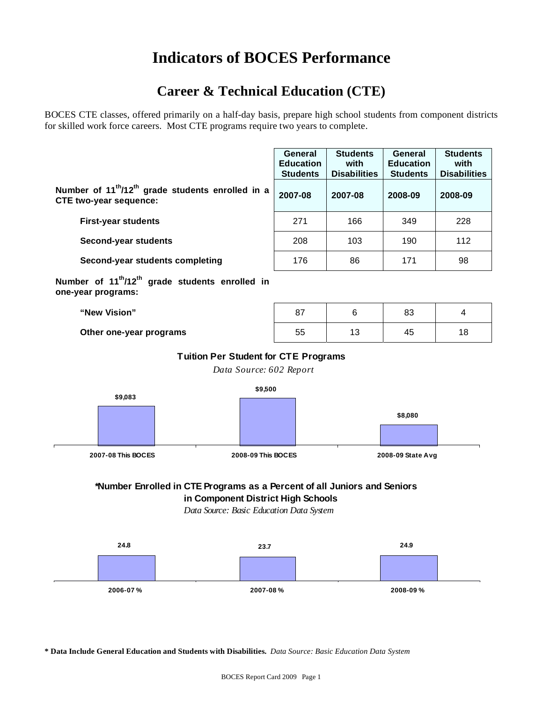## **Indicators of BOCES Performance**

## **Career & Technical Education (CTE)**

BOCES CTE classes, offered primarily on a half-day basis, prepare high school students from component districts for skilled work force careers. Most CTE programs require two years to complete.

|                                                                                                            | General<br><b>Education</b><br><b>Students</b> | <b>Students</b><br>with<br><b>Disabilities</b> | General<br><b>Education</b><br><b>Students</b> | <b>Students</b><br>with<br><b>Disabilities</b> |
|------------------------------------------------------------------------------------------------------------|------------------------------------------------|------------------------------------------------|------------------------------------------------|------------------------------------------------|
| Number of 11 <sup>th</sup> /12 <sup>th</sup> grade students enrolled in a<br><b>CTE two-year sequence:</b> | 2007-08                                        | 2007-08                                        | 2008-09                                        | 2008-09                                        |
| <b>First-year students</b>                                                                                 | 271                                            | 166                                            | 349                                            | 228                                            |
| Second-year students                                                                                       | 208                                            | 103                                            | 190                                            | 112                                            |
| Second-year students completing                                                                            | 176                                            | 86                                             | 171                                            | 98                                             |
| Number of 11 <sup>th</sup> /12 <sup>th</sup> grade students enrolled in<br>one-year programs:              |                                                |                                                |                                                |                                                |

| "New Vision"            | ດ<br>o i | ດດ<br>οc |    |
|-------------------------|----------|----------|----|
| Other one-year programs | 55       | 45       | ١ŏ |

#### **Tuition Per Student for CTE Programs**

*Data Source: 602 Report*



#### **\*Number Enrolled in CTE Programs as a Percent of all Juniors and Seniors in Component District High Schools**

*Data Source: Basic Education Data System*



**\* Data Include General Education and Students with Disabilities.** *Data Source: Basic Education Data System*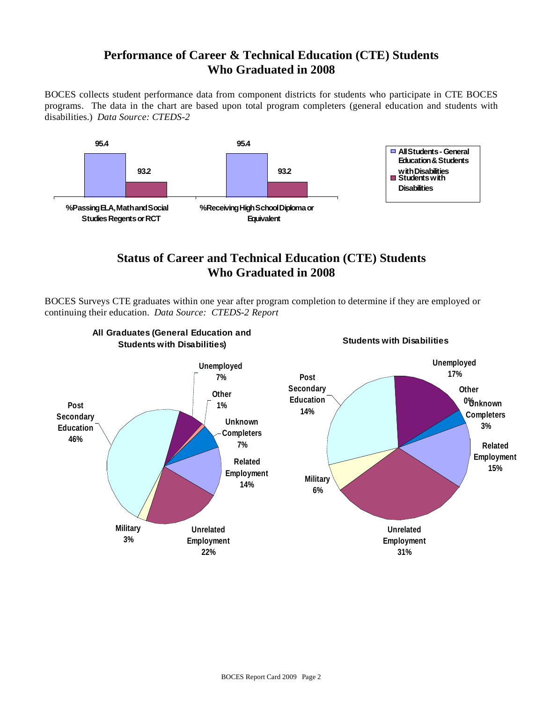#### **Performance of Career & Technical Education (CTE) Students Who Graduated in 2008**

BOCES collects student performance data from component districts for students who participate in CTE BOCES programs. The data in the chart are based upon total program completers (general education and students with disabilities.) *Data Source: CTEDS-2*



#### **Status of Career and Technical Education (CTE) Students Who Graduated in 2008**

BOCES Surveys CTE graduates within one year after program completion to determine if they are employed or continuing their education. *Data Source: CTEDS-2 Report*

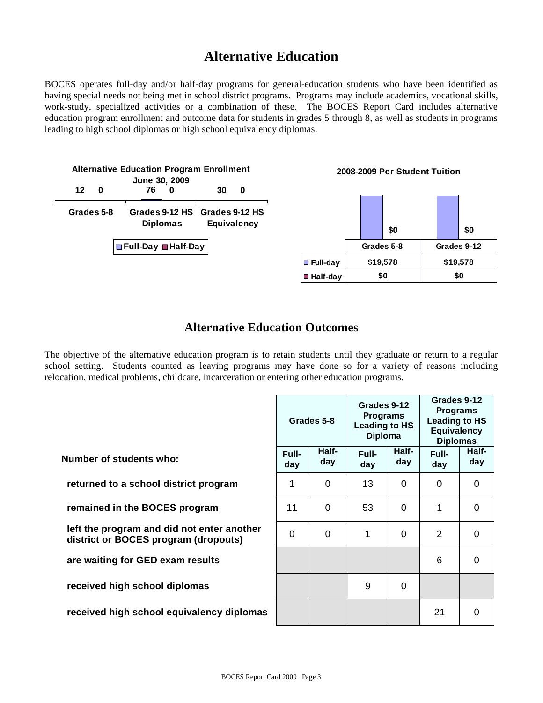## **Alternative Education**

BOCES operates full-day and/or half-day programs for general-education students who have been identified as having special needs not being met in school district programs. Programs may include academics, vocational skills, work-study, specialized activities or a combination of these. The BOCES Report Card includes alternative education program enrollment and outcome data for students in grades 5 through 8, as well as students in programs leading to high school diplomas or high school equivalency diplomas.

| <b>Alternative Education Program Enrollment</b> |   |                       |          |                                              |  |  |
|-------------------------------------------------|---|-----------------------|----------|----------------------------------------------|--|--|
|                                                 |   | June 30, 2009         |          |                                              |  |  |
| 12 <sup>1</sup>                                 | 0 | 76                    |          | 30                                           |  |  |
| Grades 5-8                                      |   |                       | Diplomas | Grades 9-12 HS Grades 9-12 HS<br>Equivalency |  |  |
|                                                 |   | □ Full-Day ■ Half-Day |          |                                              |  |  |

**2008-2009 Per Student Tuition**

|            |            | \$0      |          | \$0         |
|------------|------------|----------|----------|-------------|
|            | Grades 5-8 |          |          | Grades 9-12 |
| ■ Full-day |            | \$19,578 | \$19,578 |             |
| ■ Half-day | \$0        |          |          | \$0         |

#### **Alternative Education Outcomes**

The objective of the alternative education program is to retain students until they graduate or return to a regular school setting. Students counted as leaving programs may have done so for a variety of reasons including relocation, medical problems, childcare, incarceration or entering other education programs.

|                                                                                    |              | Grades 5-8   | Grades 9-12<br><b>Programs</b><br><b>Leading to HS</b><br><b>Diploma</b> |              |                | Grades 9-12<br><b>Programs</b><br><b>Leading to HS</b><br><b>Equivalency</b><br><b>Diplomas</b> |  |
|------------------------------------------------------------------------------------|--------------|--------------|--------------------------------------------------------------------------|--------------|----------------|-------------------------------------------------------------------------------------------------|--|
| Number of students who:                                                            | Full-<br>day | Half-<br>day | Full-<br>day                                                             | Half-<br>day | Full-<br>day   | Half-<br>day                                                                                    |  |
| returned to a school district program                                              | 1            | $\Omega$     | 13                                                                       | $\Omega$     | $\Omega$       | $\Omega$                                                                                        |  |
| remained in the BOCES program                                                      | 11           | 0            | 53                                                                       | $\Omega$     | 1              | 0                                                                                               |  |
| left the program and did not enter another<br>district or BOCES program (dropouts) | $\Omega$     | $\Omega$     | 1                                                                        | 0            | $\overline{2}$ | 0                                                                                               |  |
| are waiting for GED exam results                                                   |              |              |                                                                          |              | 6              | 0                                                                                               |  |
| received high school diplomas                                                      |              |              | 9                                                                        | $\Omega$     |                |                                                                                                 |  |
| received high school equivalency diplomas                                          |              |              |                                                                          |              | 21             | 0                                                                                               |  |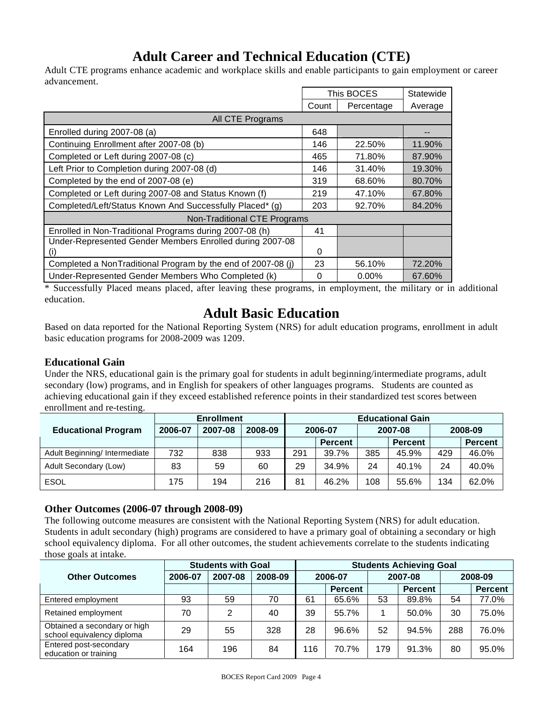## **Adult Career and Technical Education (CTE)**

Adult CTE programs enhance academic and workplace skills and enable participants to gain employment or career advancement.

|                                                              |          | This BOCES | Statewide |
|--------------------------------------------------------------|----------|------------|-----------|
|                                                              | Count    | Percentage | Average   |
| All CTE Programs                                             |          |            |           |
| Enrolled during 2007-08 (a)                                  | 648      |            |           |
| Continuing Enrollment after 2007-08 (b)                      | 146      | 22.50%     | 11.90%    |
| Completed or Left during 2007-08 (c)                         | 465      | 71.80%     | 87.90%    |
| Left Prior to Completion during 2007-08 (d)                  | 146      | 31.40%     | 19.30%    |
| Completed by the end of 2007-08 (e)                          | 319      | 68.60%     | 80.70%    |
| Completed or Left during 2007-08 and Status Known (f)        | 219      | 47.10%     | 67.80%    |
| Completed/Left/Status Known And Successfully Placed* (g)     | 203      | 92.70%     | 84.20%    |
| <b>Non-Traditional CTE Programs</b>                          |          |            |           |
| Enrolled in Non-Traditional Programs during 2007-08 (h)      | 41       |            |           |
| Under-Represented Gender Members Enrolled during 2007-08     |          |            |           |
| (i)                                                          | $\Omega$ |            |           |
| Completed a NonTraditional Program by the end of 2007-08 (i) | 23       | 56.10%     | 72.20%    |
| Under-Represented Gender Members Who Completed (k)           | $\Omega$ | $0.00\%$   | 67.60%    |

\* Successfully Placed means placed, after leaving these programs, in employment, the military or in additional education.

## **Adult Basic Education**

Based on data reported for the National Reporting System (NRS) for adult education programs, enrollment in adult basic education programs for 2008-2009 was 1209.

#### **Educational Gain**

Under the NRS, educational gain is the primary goal for students in adult beginning/intermediate programs, adult secondary (low) programs, and in English for speakers of other languages programs. Students are counted as achieving educational gain if they exceed established reference points in their standardized test scores between enrollment and re-testing.

|                               | <b>Enrollment</b> |         |         | <b>Educational Gain</b> |                |     |                |     |                |  |  |  |  |  |         |  |         |
|-------------------------------|-------------------|---------|---------|-------------------------|----------------|-----|----------------|-----|----------------|--|--|--|--|--|---------|--|---------|
| <b>Educational Program</b>    | 2006-07           | 2007-08 | 2008-09 | 2006-07                 |                |     |                |     |                |  |  |  |  |  | 2007-08 |  | 2008-09 |
|                               |                   |         |         |                         | <b>Percent</b> |     | <b>Percent</b> |     | <b>Percent</b> |  |  |  |  |  |         |  |         |
| Adult Beginning/ Intermediate | 732               | 838     | 933     | 291                     | 39.7%          | 385 | 45.9%          | 429 | 46.0%          |  |  |  |  |  |         |  |         |
| Adult Secondary (Low)         | 83                | 59      | 60      | 29                      | 34.9%          | 24  | 40.1%          | 24  | 40.0%          |  |  |  |  |  |         |  |         |
| <b>ESOL</b>                   | 175               | 194     | 216     | 81                      | 46.2%          | 108 | 55.6%          | 134 | 62.0%          |  |  |  |  |  |         |  |         |

#### **Other Outcomes (2006-07 through 2008-09)**

The following outcome measures are consistent with the National Reporting System (NRS) for adult education. Students in adult secondary (high) programs are considered to have a primary goal of obtaining a secondary or high school equivalency diploma. For all other outcomes, the student achievements correlate to the students indicating those goals at intake.

|                                                            |         | <b>Students with Goal</b> | <b>Students Achieving Goal</b> |         |         |     |                |         |                |  |         |
|------------------------------------------------------------|---------|---------------------------|--------------------------------|---------|---------|-----|----------------|---------|----------------|--|---------|
| <b>Other Outcomes</b>                                      | 2006-07 | 2007-08<br>2008-09        |                                | 2006-07 |         |     |                | 2007-08 |                |  | 2008-09 |
|                                                            |         |                           |                                |         | Percent |     | <b>Percent</b> |         | <b>Percent</b> |  |         |
| Entered employment                                         | 93      | 59                        | 70                             | 61      | 65.6%   | 53  | 89.8%          | 54      | 77.0%          |  |         |
| Retained employment                                        | 70      | 2                         | 40                             | 39      | 55.7%   |     | 50.0%          | 30      | 75.0%          |  |         |
| Obtained a secondary or high<br>school equivalency diploma | 29      | 55                        | 328                            | 28      | 96.6%   | 52  | 94.5%          | 288     | 76.0%          |  |         |
| Entered post-secondary<br>education or training            | 164     | 196                       | 84                             | 116     | 70.7%   | 179 | 91.3%          | 80      | 95.0%          |  |         |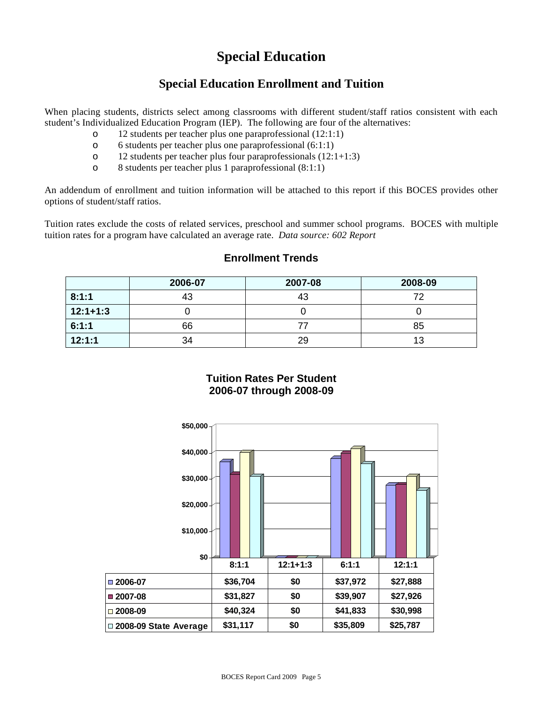## **Special Education**

#### **Special Education Enrollment and Tuition**

When placing students, districts select among classrooms with different student/staff ratios consistent with each student's Individualized Education Program (IEP). The following are four of the alternatives:

- o 12 students per teacher plus one paraprofessional (12:1:1)
- o 6 students per teacher plus one paraprofessional (6:1:1)
- o 12 students per teacher plus four paraprofessionals (12:1+1:3)
- o 8 students per teacher plus 1 paraprofessional (8:1:1)

An addendum of enrollment and tuition information will be attached to this report if this BOCES provides other options of student/staff ratios.

Tuition rates exclude the costs of related services, preschool and summer school programs. BOCES with multiple tuition rates for a program have calculated an average rate. *Data source: 602 Report*

|            | 2006-07 | 2007-08 | 2008-09 |
|------------|---------|---------|---------|
| 8:1:1      | 43      | 43      | 72      |
| $12:1+1:3$ |         |         |         |
| 6:1:1      | 66      |         | 85      |
| 12:1:1     | 34      | 29      | 13      |

#### **Enrollment Trends**

#### **Tuition Rates Per Student 2006-07 through 2008-09**

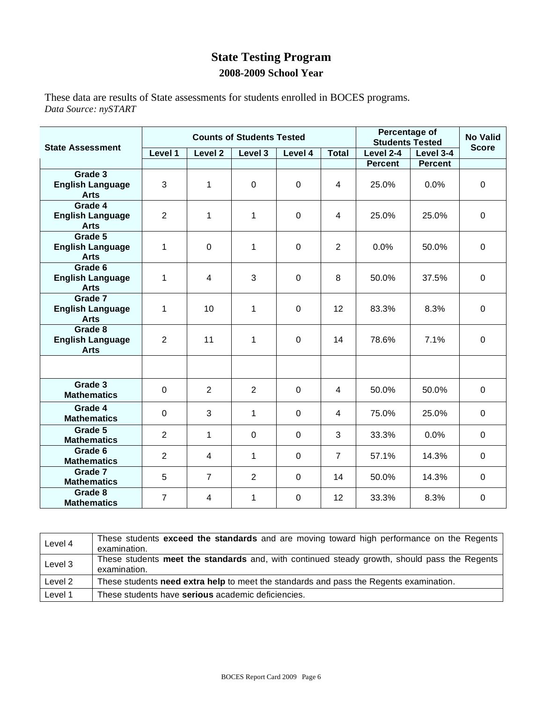#### **State Testing Program 2008-2009 School Year**

These data are results of State assessments for students enrolled in BOCES programs. *Data Source: nySTART* 

|                                                   | <b>Counts of Students Tested</b> |                    |                |             |                |                |                | <b>No Valid</b><br><b>Score</b> |
|---------------------------------------------------|----------------------------------|--------------------|----------------|-------------|----------------|----------------|----------------|---------------------------------|
| <b>State Assessment</b>                           | Level 1                          | Level <sub>2</sub> | Level 3        | Level 4     | Total          | Level 2-4      | Level 3-4      |                                 |
|                                                   |                                  |                    |                |             |                | <b>Percent</b> | <b>Percent</b> |                                 |
| Grade 3<br><b>English Language</b><br><b>Arts</b> | 3                                | 1                  | $\mathbf 0$    | $\mathbf 0$ | $\overline{4}$ | 25.0%          | 0.0%           | $\mathbf 0$                     |
| Grade 4<br><b>English Language</b><br><b>Arts</b> | $\overline{2}$                   | 1                  | 1              | $\mathbf 0$ | 4              | 25.0%          | 25.0%          | 0                               |
| Grade 5<br><b>English Language</b><br><b>Arts</b> | 1                                | $\mathbf 0$        | 1              | $\mathbf 0$ | $\overline{2}$ | 0.0%           | 50.0%          | $\mathbf 0$                     |
| Grade 6<br><b>English Language</b><br><b>Arts</b> | 1                                | $\overline{4}$     | 3              | $\mathbf 0$ | 8              | 50.0%          | 37.5%          | $\mathbf 0$                     |
| Grade 7<br><b>English Language</b><br><b>Arts</b> | 1                                | 10                 | 1              | $\mathbf 0$ | 12             | 83.3%          | 8.3%           | $\mathbf 0$                     |
| Grade 8<br><b>English Language</b><br><b>Arts</b> | $\overline{2}$                   | 11                 | 1              | $\mathbf 0$ | 14             | 78.6%          | 7.1%           | $\mathbf 0$                     |
|                                                   |                                  |                    |                |             |                |                |                |                                 |
| Grade 3<br><b>Mathematics</b>                     | $\mathbf 0$                      | $\overline{2}$     | $\overline{2}$ | $\mathbf 0$ | $\overline{4}$ | 50.0%          | 50.0%          | $\mathbf 0$                     |
| Grade 4<br><b>Mathematics</b>                     | $\mathbf 0$                      | 3                  | 1              | $\mathbf 0$ | $\overline{4}$ | 75.0%          | 25.0%          | $\mathbf 0$                     |
| Grade 5<br><b>Mathematics</b>                     | 2                                | 1                  | $\mathbf 0$    | $\mathbf 0$ | 3              | 33.3%          | 0.0%           | $\mathbf 0$                     |
| Grade 6<br><b>Mathematics</b>                     | $\overline{2}$                   | $\overline{4}$     | 1              | $\mathbf 0$ | $\overline{7}$ | 57.1%          | 14.3%          | $\Omega$                        |
| Grade 7<br><b>Mathematics</b>                     | 5                                | $\overline{7}$     | $\overline{2}$ | $\mathbf 0$ | 14             | 50.0%          | 14.3%          | $\mathbf{0}$                    |
| Grade 8<br><b>Mathematics</b>                     | $\overline{7}$                   | 4                  | 1              | $\mathbf 0$ | 12             | 33.3%          | 8.3%           | $\mathbf 0$                     |

| Level 4 | These students exceed the standards and are moving toward high performance on the Regents<br>examination.    |
|---------|--------------------------------------------------------------------------------------------------------------|
| Level 3 | These students meet the standards and, with continued steady growth, should pass the Regents<br>examination. |
| Level 2 | These students need extra help to meet the standards and pass the Regents examination.                       |
| Level 1 | These students have serious academic deficiencies.                                                           |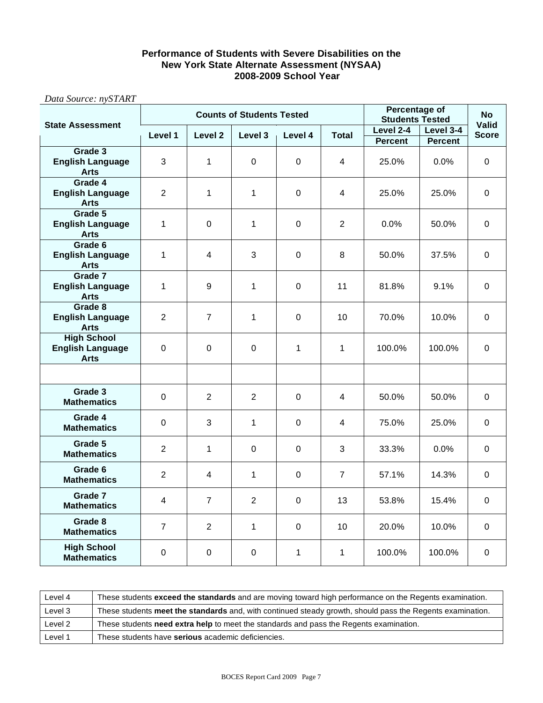#### **Performance of Students with Severe Disabilities on the New York State Alternate Assessment (NYSAA) 2008-2009 School Year**

|                                                              | <b>Counts of Students Tested</b> |                    |                |              |                | <b>Percentage of</b><br><b>Students Tested</b> |                | <b>No</b>                    |
|--------------------------------------------------------------|----------------------------------|--------------------|----------------|--------------|----------------|------------------------------------------------|----------------|------------------------------|
| <b>State Assessment</b>                                      | Level 1                          | Level <sub>2</sub> | Level 3        | Level 4      | Total          | Level 2-4                                      | Level 3-4      | <b>Valid</b><br><b>Score</b> |
| Grade 3                                                      |                                  |                    |                |              |                | <b>Percent</b>                                 | <b>Percent</b> |                              |
| <b>English Language</b><br><b>Arts</b>                       | 3                                | $\mathbf{1}$       | 0              | $\mathbf 0$  | 4              | 25.0%                                          | 0.0%           | $\mathbf 0$                  |
| Grade 4<br><b>English Language</b><br><b>Arts</b>            | $\overline{2}$                   | 1                  | 1              | 0            | 4              | 25.0%                                          | 25.0%          | 0                            |
| Grade 5<br><b>English Language</b><br><b>Arts</b>            | $\mathbf{1}$                     | $\mathbf 0$        | 1              | 0            | $\overline{2}$ | 0.0%                                           | 50.0%          | $\mathbf 0$                  |
| Grade 6<br><b>English Language</b><br><b>Arts</b>            | 1                                | 4                  | 3              | $\mathbf 0$  | 8              | 50.0%                                          | 37.5%          | $\mathbf 0$                  |
| Grade 7<br><b>English Language</b><br><b>Arts</b>            | 1                                | 9                  | 1              | 0            | 11             | 81.8%                                          | 9.1%           | 0                            |
| Grade 8<br><b>English Language</b><br><b>Arts</b>            | $\overline{2}$                   | $\overline{7}$     | 1              | $\mathbf 0$  | 10             | 70.0%                                          | 10.0%          | $\mathbf 0$                  |
| <b>High School</b><br><b>English Language</b><br><b>Arts</b> | $\Omega$                         | $\mathbf 0$        | $\mathbf 0$    | 1            | 1              | 100.0%                                         | 100.0%         | $\mathbf 0$                  |
|                                                              |                                  |                    |                |              |                |                                                |                |                              |
| Grade 3<br><b>Mathematics</b>                                | 0                                | $\overline{2}$     | $\overline{2}$ | $\mathbf 0$  | 4              | 50.0%                                          | 50.0%          | $\mathbf 0$                  |
| Grade 4<br><b>Mathematics</b>                                | 0                                | 3                  | 1              | 0            | 4              | 75.0%                                          | 25.0%          | $\mathbf 0$                  |
| Grade 5<br><b>Mathematics</b>                                | $\overline{2}$                   | $\mathbf{1}$       | $\Omega$       | $\pmb{0}$    | 3              | 33.3%                                          | 0.0%           | $\Omega$                     |
| Grade 6<br><b>Mathematics</b>                                | $\overline{2}$                   | 4                  | 1              | $\mathbf 0$  | $\overline{7}$ | 57.1%                                          | 14.3%          | $\mathbf 0$                  |
| Grade 7<br><b>Mathematics</b>                                | 4                                | $\overline{7}$     | $\overline{2}$ | 0            | 13             | 53.8%                                          | 15.4%          | $\Omega$                     |
| Grade 8<br><b>Mathematics</b>                                | $\overline{7}$                   | $\overline{2}$     | 1              | $\mathbf 0$  | 10             | 20.0%                                          | 10.0%          | 0                            |
| <b>High School</b><br><b>Mathematics</b>                     | $\mathbf 0$                      | $\mathbf 0$        | $\mathbf 0$    | $\mathbf{1}$ | 1              | 100.0%                                         | 100.0%         | $\mathbf 0$                  |

*Data Source: nySTART*

Г

| Level 4 | These students exceed the standards and are moving toward high performance on the Regents examination.    |
|---------|-----------------------------------------------------------------------------------------------------------|
| Level 3 | These students meet the standards and, with continued steady growth, should pass the Regents examination. |
| Level 2 | These students <b>need extra help</b> to meet the standards and pass the Regents examination.             |
| Level 1 | These students have serious academic deficiencies.                                                        |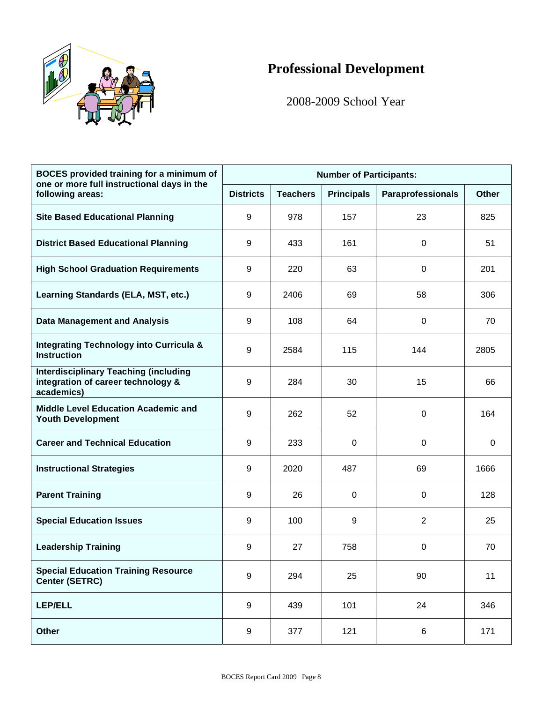

## **Professional Development**

2008-2009 School Year

| <b>BOCES</b> provided training for a minimum of<br>one or more full instructional days in the    | <b>Number of Participants:</b> |                 |                   |                          |              |  |  |
|--------------------------------------------------------------------------------------------------|--------------------------------|-----------------|-------------------|--------------------------|--------------|--|--|
| following areas:                                                                                 | <b>Districts</b>               | <b>Teachers</b> | <b>Principals</b> | <b>Paraprofessionals</b> | <b>Other</b> |  |  |
| <b>Site Based Educational Planning</b>                                                           | 9                              | 978             | 157               | 23                       | 825          |  |  |
| <b>District Based Educational Planning</b>                                                       | 9                              | 433             | 161               | 0                        | 51           |  |  |
| <b>High School Graduation Requirements</b>                                                       | 9                              | 220             | 63                | 0                        | 201          |  |  |
| Learning Standards (ELA, MST, etc.)                                                              | 9                              | 2406            | 69                | 58                       | 306          |  |  |
| <b>Data Management and Analysis</b>                                                              | 9                              | 108             | 64                | 0                        | 70           |  |  |
| <b>Integrating Technology into Curricula &amp;</b><br><b>Instruction</b>                         | 9                              | 2584            | 115               | 144                      | 2805         |  |  |
| <b>Interdisciplinary Teaching (including</b><br>integration of career technology &<br>academics) | 9                              | 284             | 30                | 15                       | 66           |  |  |
| <b>Middle Level Education Academic and</b><br><b>Youth Development</b>                           | 9                              | 262             | 52                | 0                        | 164          |  |  |
| <b>Career and Technical Education</b>                                                            | 9                              | 233             | 0                 | 0                        | 0            |  |  |
| <b>Instructional Strategies</b>                                                                  | 9                              | 2020            | 487               | 69                       | 1666         |  |  |
| <b>Parent Training</b>                                                                           | 9                              | 26              | 0                 | 0                        | 128          |  |  |
| <b>Special Education Issues</b>                                                                  | 9                              | 100             | 9                 | $\overline{2}$           | 25           |  |  |
| <b>Leadership Training</b>                                                                       | 9                              | 27              | 758               | $\pmb{0}$                | 70           |  |  |
| <b>Special Education Training Resource</b><br><b>Center (SETRC)</b>                              | $\boldsymbol{9}$               | 294             | 25                | 90                       | 11           |  |  |
| <b>LEP/ELL</b>                                                                                   | 9                              | 439             | 101               | 24                       | 346          |  |  |
| <b>Other</b>                                                                                     | $\boldsymbol{9}$               | 377             | 121               | 6                        | 171          |  |  |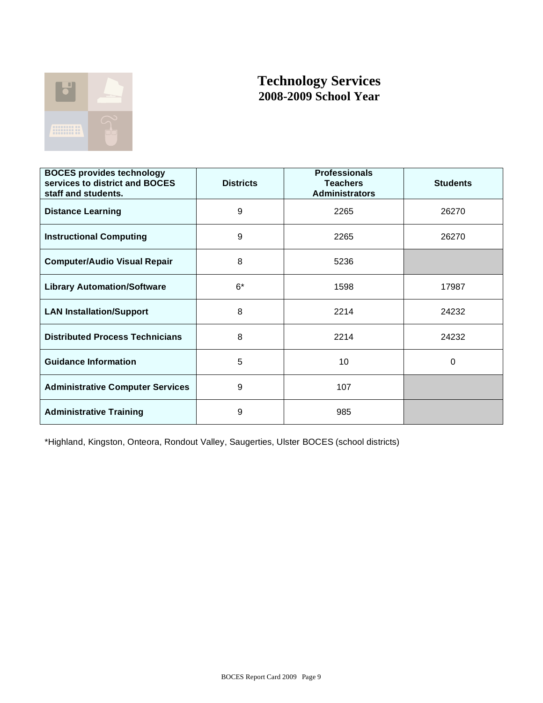

#### **Technology Services 2008-2009 School Year**

| <b>BOCES provides technology</b><br>services to district and BOCES<br>staff and students. | <b>Districts</b> | <b>Professionals</b><br><b>Teachers</b><br><b>Administrators</b> | <b>Students</b> |
|-------------------------------------------------------------------------------------------|------------------|------------------------------------------------------------------|-----------------|
| <b>Distance Learning</b>                                                                  | 9                | 2265                                                             | 26270           |
| <b>Instructional Computing</b>                                                            | 9                | 2265                                                             | 26270           |
| <b>Computer/Audio Visual Repair</b>                                                       | 8                | 5236                                                             |                 |
| <b>Library Automation/Software</b>                                                        | $6*$             | 1598                                                             | 17987           |
| <b>LAN Installation/Support</b>                                                           | 8                | 2214                                                             | 24232           |
| <b>Distributed Process Technicians</b>                                                    | 8                | 2214                                                             | 24232           |
| <b>Guidance Information</b>                                                               | 5                | 10                                                               | 0               |
| <b>Administrative Computer Services</b>                                                   | 9                | 107                                                              |                 |
| <b>Administrative Training</b>                                                            | 9                | 985                                                              |                 |

\*Highland, Kingston, Onteora, Rondout Valley, Saugerties, Ulster BOCES (school districts)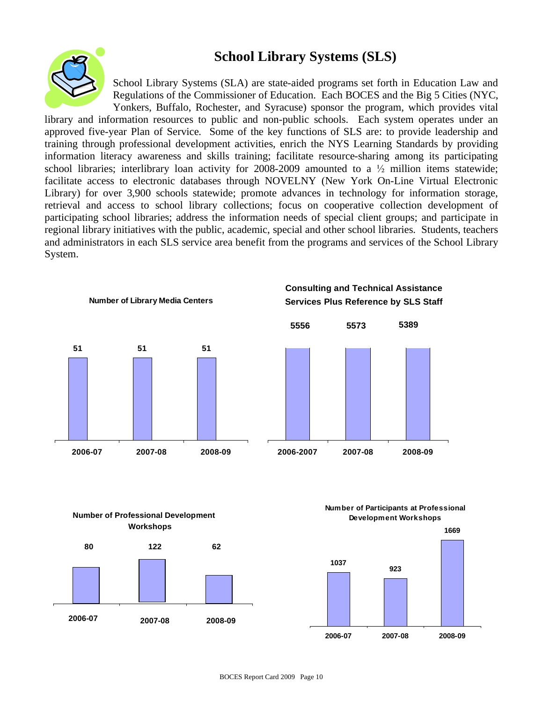### **School Library Systems (SLS)**



School Library Systems (SLA) are state-aided programs set forth in Education Law and Regulations of the Commissioner of Education. Each BOCES and the Big 5 Cities (NYC, Yonkers, Buffalo, Rochester, and Syracuse) sponsor the program, which provides vital

library and information resources to public and non-public schools. Each system operates under an approved five-year Plan of Service. Some of the key functions of SLS are: to provide leadership and training through professional development activities, enrich the NYS Learning Standards by providing information literacy awareness and skills training; facilitate resource-sharing among its participating school libraries; interlibrary loan activity for 2008-2009 amounted to a  $\frac{1}{2}$  million items statewide; facilitate access to electronic databases through NOVELNY (New York On-Line Virtual Electronic Library) for over 3,900 schools statewide; promote advances in technology for information storage, retrieval and access to school library collections; focus on cooperative collection development of participating school libraries; address the information needs of special client groups; and participate in regional library initiatives with the public, academic, special and other school libraries. Students, teachers and administrators in each SLS service area benefit from the programs and services of the School Library System.



#### **Number of Professional Development Workshops**



**Number of Participants at Professional Development Workshops**